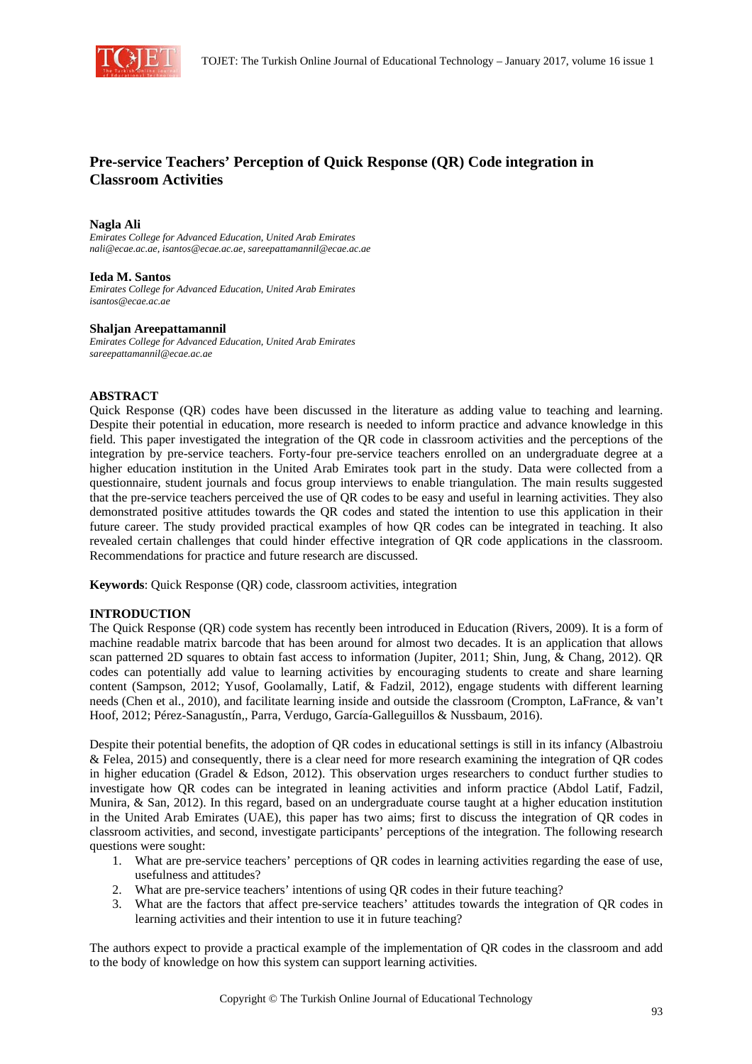

# **Pre-service Teachers' Perception of Quick Response (QR) Code integration in Classroom Activities**

#### **Nagla Ali**

*Emirates College for Advanced Education, United Arab Emirates nali@ecae.ac.ae, isantos@ecae.ac.ae, sareepattamannil@ecae.ac.ae* 

#### **Ieda M. Santos**

*Emirates College for Advanced Education, United Arab Emirates isantos@ecae.ac.ae* 

#### **Shaljan Areepattamannil**

*Emirates College for Advanced Education, United Arab Emirates sareepattamannil@ecae.ac.ae* 

## **ABSTRACT**

Quick Response (QR) codes have been discussed in the literature as adding value to teaching and learning. Despite their potential in education, more research is needed to inform practice and advance knowledge in this field. This paper investigated the integration of the QR code in classroom activities and the perceptions of the integration by pre-service teachers. Forty-four pre-service teachers enrolled on an undergraduate degree at a higher education institution in the United Arab Emirates took part in the study. Data were collected from a questionnaire, student journals and focus group interviews to enable triangulation. The main results suggested that the pre-service teachers perceived the use of QR codes to be easy and useful in learning activities. They also demonstrated positive attitudes towards the QR codes and stated the intention to use this application in their future career. The study provided practical examples of how QR codes can be integrated in teaching. It also revealed certain challenges that could hinder effective integration of QR code applications in the classroom. Recommendations for practice and future research are discussed.

**Keywords**: Quick Response (QR) code, classroom activities, integration

# **INTRODUCTION**

The Quick Response (QR) code system has recently been introduced in Education (Rivers, 2009). It is a form of machine readable matrix barcode that has been around for almost two decades. It is an application that allows scan patterned 2D squares to obtain fast access to information (Jupiter, 2011; Shin, Jung, & Chang, 2012). QR codes can potentially add value to learning activities by encouraging students to create and share learning content (Sampson, 2012; Yusof, Goolamally, Latif, & Fadzil, 2012), engage students with different learning needs (Chen et al., 2010), and facilitate learning inside and outside the classroom (Crompton, LaFrance, & van't Hoof, 2012; Pérez-Sanagustín,, Parra, Verdugo, García-Galleguillos & Nussbaum, 2016).

Despite their potential benefits, the adoption of QR codes in educational settings is still in its infancy (Albastroiu & Felea, 2015) and consequently, there is a clear need for more research examining the integration of QR codes in higher education (Gradel & Edson, 2012). This observation urges researchers to conduct further studies to investigate how QR codes can be integrated in leaning activities and inform practice (Abdol Latif, Fadzil, Munira, & San, 2012). In this regard, based on an undergraduate course taught at a higher education institution in the United Arab Emirates (UAE), this paper has two aims; first to discuss the integration of QR codes in classroom activities, and second, investigate participants' perceptions of the integration. The following research questions were sought:

- 1. What are pre-service teachers' perceptions of QR codes in learning activities regarding the ease of use, usefulness and attitudes?
- 2. What are pre-service teachers' intentions of using QR codes in their future teaching?
- 3. What are the factors that affect pre-service teachers' attitudes towards the integration of QR codes in learning activities and their intention to use it in future teaching?

The authors expect to provide a practical example of the implementation of QR codes in the classroom and add to the body of knowledge on how this system can support learning activities.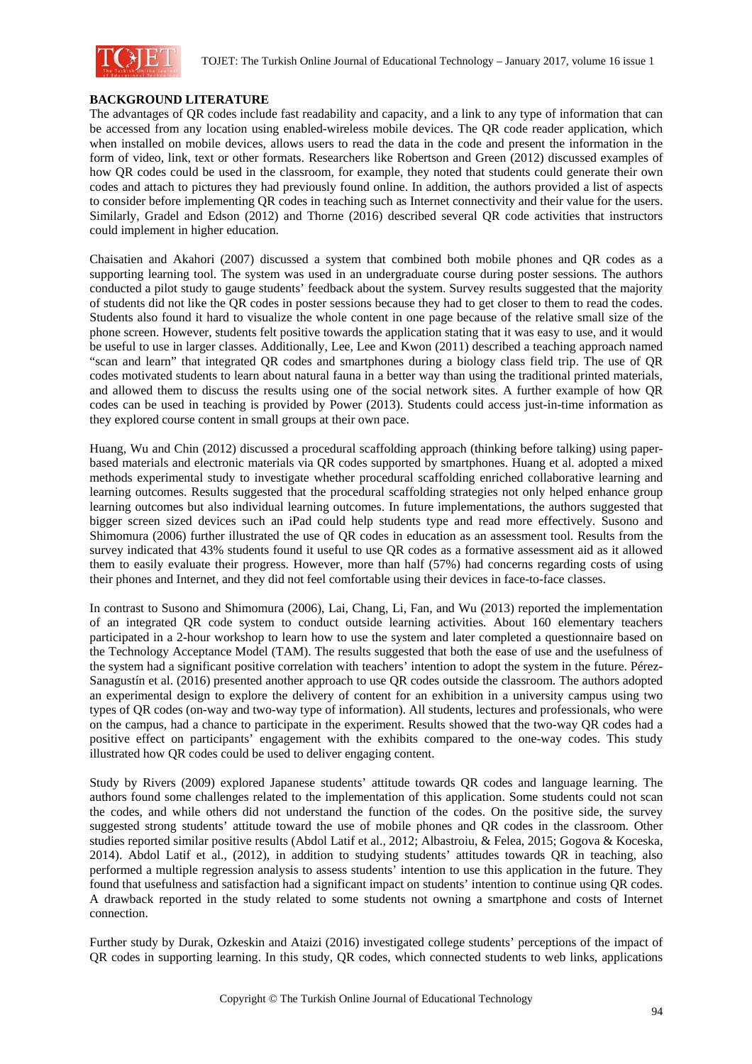

# **BACKGROUND LITERATURE**

The advantages of QR codes include fast readability and capacity, and a link to any type of information that can be accessed from any location using enabled-wireless mobile devices. The QR code reader application, which when installed on mobile devices, allows users to read the data in the code and present the information in the form of video, link, text or other formats. Researchers like Robertson and Green (2012) discussed examples of how QR codes could be used in the classroom, for example, they noted that students could generate their own codes and attach to pictures they had previously found online. In addition, the authors provided a list of aspects to consider before implementing QR codes in teaching such as Internet connectivity and their value for the users. Similarly, Gradel and Edson (2012) and Thorne (2016) described several QR code activities that instructors could implement in higher education.

Chaisatien and Akahori (2007) discussed a system that combined both mobile phones and QR codes as a supporting learning tool. The system was used in an undergraduate course during poster sessions. The authors conducted a pilot study to gauge students' feedback about the system. Survey results suggested that the majority of students did not like the QR codes in poster sessions because they had to get closer to them to read the codes. Students also found it hard to visualize the whole content in one page because of the relative small size of the phone screen. However, students felt positive towards the application stating that it was easy to use, and it would be useful to use in larger classes. Additionally, Lee, Lee and Kwon (2011) described a teaching approach named "scan and learn" that integrated QR codes and smartphones during a biology class field trip. The use of QR codes motivated students to learn about natural fauna in a better way than using the traditional printed materials, and allowed them to discuss the results using one of the social network sites. A further example of how QR codes can be used in teaching is provided by Power (2013). Students could access just-in-time information as they explored course content in small groups at their own pace.

Huang, Wu and Chin (2012) discussed a procedural scaffolding approach (thinking before talking) using paperbased materials and electronic materials via QR codes supported by smartphones. Huang et al. adopted a mixed methods experimental study to investigate whether procedural scaffolding enriched collaborative learning and learning outcomes. Results suggested that the procedural scaffolding strategies not only helped enhance group learning outcomes but also individual learning outcomes. In future implementations, the authors suggested that bigger screen sized devices such an iPad could help students type and read more effectively. Susono and Shimomura (2006) further illustrated the use of QR codes in education as an assessment tool. Results from the survey indicated that 43% students found it useful to use QR codes as a formative assessment aid as it allowed them to easily evaluate their progress. However, more than half (57%) had concerns regarding costs of using their phones and Internet, and they did not feel comfortable using their devices in face-to-face classes.

In contrast to Susono and Shimomura (2006), Lai, Chang, Li, Fan, and Wu (2013) reported the implementation of an integrated QR code system to conduct outside learning activities. About 160 elementary teachers participated in a 2-hour workshop to learn how to use the system and later completed a questionnaire based on the Technology Acceptance Model (TAM). The results suggested that both the ease of use and the usefulness of the system had a significant positive correlation with teachers' intention to adopt the system in the future. Pérez-Sanagustín et al. (2016) presented another approach to use QR codes outside the classroom. The authors adopted an experimental design to explore the delivery of content for an exhibition in a university campus using two types of QR codes (on-way and two-way type of information). All students, lectures and professionals, who were on the campus, had a chance to participate in the experiment. Results showed that the two-way QR codes had a positive effect on participants' engagement with the exhibits compared to the one-way codes. This study illustrated how QR codes could be used to deliver engaging content.

Study by Rivers (2009) explored Japanese students' attitude towards QR codes and language learning. The authors found some challenges related to the implementation of this application. Some students could not scan the codes, and while others did not understand the function of the codes. On the positive side, the survey suggested strong students' attitude toward the use of mobile phones and QR codes in the classroom. Other studies reported similar positive results (Abdol Latif et al., 2012; Albastroiu, & Felea, 2015; Gogova & Koceska, 2014). Abdol Latif et al., (2012), in addition to studying students' attitudes towards QR in teaching, also performed a multiple regression analysis to assess students' intention to use this application in the future. They found that usefulness and satisfaction had a significant impact on students' intention to continue using QR codes. A drawback reported in the study related to some students not owning a smartphone and costs of Internet connection.

Further study by Durak, Ozkeskin and Ataizi (2016) investigated college students' perceptions of the impact of QR codes in supporting learning. In this study, QR codes, which connected students to web links, applications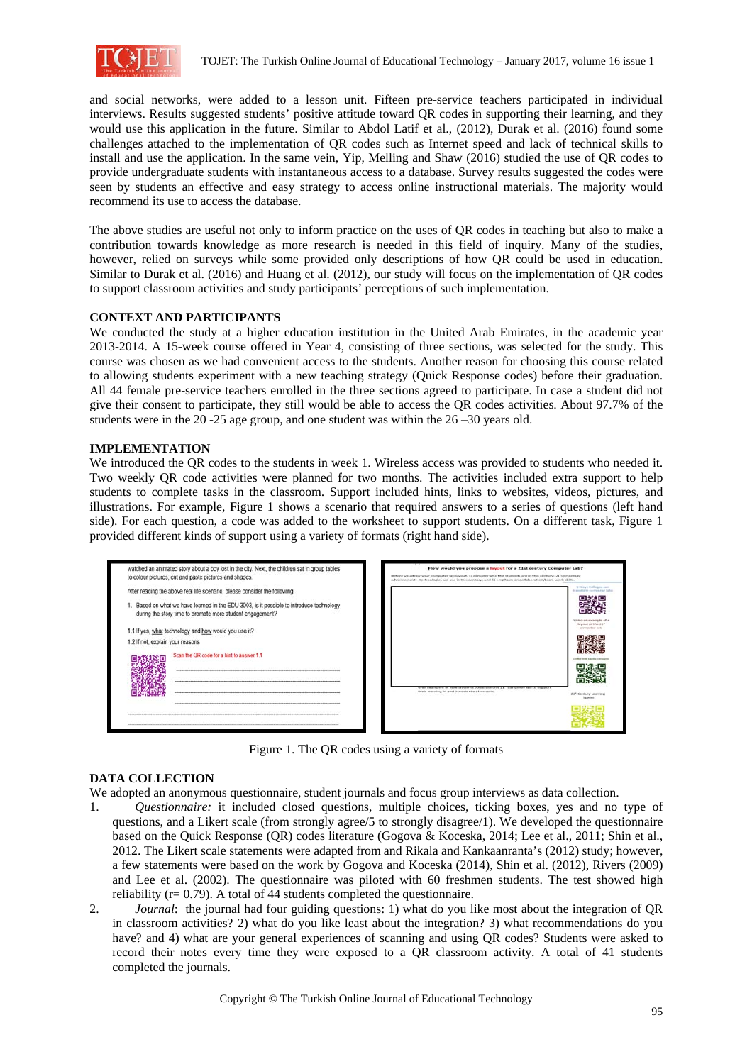

and social networks, were added to a lesson unit. Fifteen pre-service teachers participated in individual interviews. Results suggested students' positive attitude toward QR codes in supporting their learning, and they would use this application in the future. Similar to Abdol Latif et al., (2012), Durak et al. (2016) found some challenges attached to the implementation of QR codes such as Internet speed and lack of technical skills to install and use the application. In the same vein, Yip, Melling and Shaw (2016) studied the use of QR codes to provide undergraduate students with instantaneous access to a database. Survey results suggested the codes were seen by students an effective and easy strategy to access online instructional materials. The majority would recommend its use to access the database.

The above studies are useful not only to inform practice on the uses of QR codes in teaching but also to make a contribution towards knowledge as more research is needed in this field of inquiry. Many of the studies, however, relied on surveys while some provided only descriptions of how QR could be used in education. Similar to Durak et al. (2016) and Huang et al. (2012), our study will focus on the implementation of QR codes to support classroom activities and study participants' perceptions of such implementation.

# **CONTEXT AND PARTICIPANTS**

We conducted the study at a higher education institution in the United Arab Emirates, in the academic year 2013-2014. A 15-week course offered in Year 4, consisting of three sections, was selected for the study. This course was chosen as we had convenient access to the students. Another reason for choosing this course related to allowing students experiment with a new teaching strategy (Quick Response codes) before their graduation. All 44 female pre-service teachers enrolled in the three sections agreed to participate. In case a student did not give their consent to participate, they still would be able to access the QR codes activities. About 97.7% of the students were in the 20 -25 age group, and one student was within the 26 –30 years old.

## **IMPLEMENTATION**

We introduced the QR codes to the students in week 1. Wireless access was provided to students who needed it. Two weekly QR code activities were planned for two months. The activities included extra support to help students to complete tasks in the classroom. Support included hints, links to websites, videos, pictures, and illustrations. For example, Figure 1 shows a scenario that required answers to a series of questions (left hand side). For each question, a code was added to the worksheet to support students. On a different task, Figure 1 provided different kinds of support using a variety of formats (right hand side).



Figure 1. The QR codes using a variety of formats

# **DATA COLLECTION**

We adopted an anonymous questionnaire, student journals and focus group interviews as data collection.

- 1. *Questionnaire:* it included closed questions, multiple choices, ticking boxes, yes and no type of questions, and a Likert scale (from strongly agree/5 to strongly disagree/1). We developed the questionnaire based on the Quick Response (QR) codes literature (Gogova & Koceska, 2014; Lee et al., 2011; Shin et al., 2012. The Likert scale statements were adapted from and Rikala and Kankaanranta's (2012) study; however, a few statements were based on the work by Gogova and Koceska (2014), Shin et al. (2012), Rivers (2009) and Lee et al. (2002). The questionnaire was piloted with 60 freshmen students. The test showed high reliability ( $r = 0.79$ ). A total of 44 students completed the questionnaire.
- 2. *Journal*: the journal had four guiding questions: 1) what do you like most about the integration of QR in classroom activities? 2) what do you like least about the integration? 3) what recommendations do you have? and 4) what are your general experiences of scanning and using QR codes? Students were asked to record their notes every time they were exposed to a QR classroom activity. A total of 41 students completed the journals.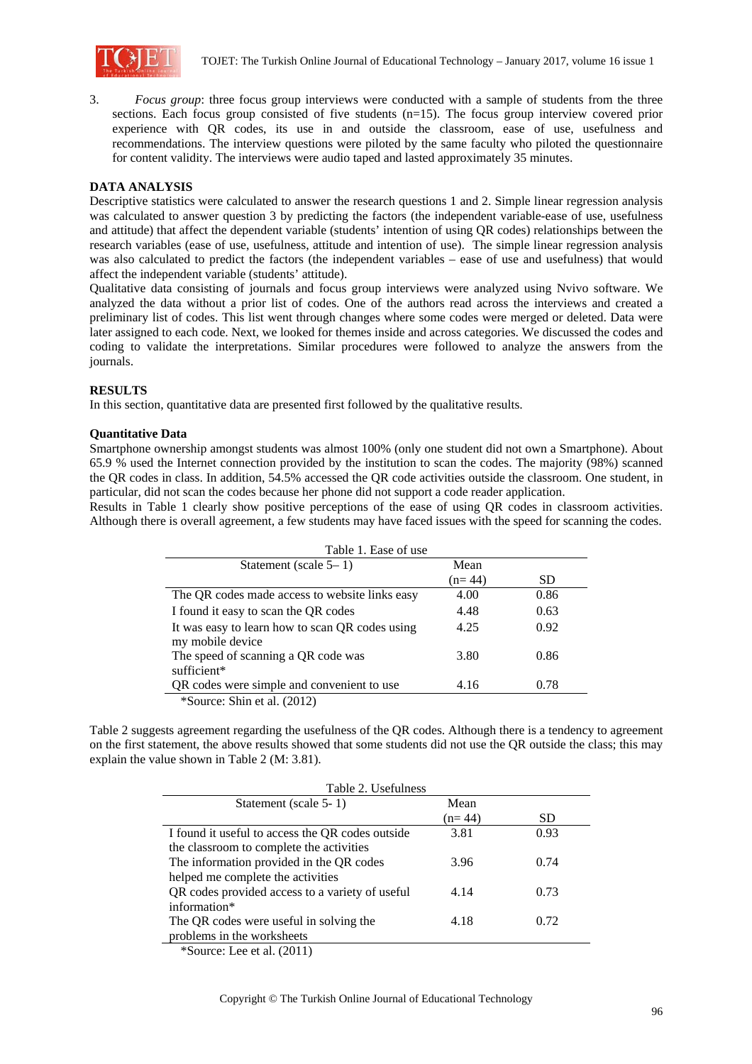

3. *Focus group*: three focus group interviews were conducted with a sample of students from the three sections. Each focus group consisted of five students (n=15). The focus group interview covered prior experience with QR codes, its use in and outside the classroom, ease of use, usefulness and recommendations. The interview questions were piloted by the same faculty who piloted the questionnaire for content validity. The interviews were audio taped and lasted approximately 35 minutes.

## **DATA ANALYSIS**

Descriptive statistics were calculated to answer the research questions 1 and 2. Simple linear regression analysis was calculated to answer question 3 by predicting the factors (the independent variable-ease of use, usefulness and attitude) that affect the dependent variable (students' intention of using QR codes) relationships between the research variables (ease of use, usefulness, attitude and intention of use). The simple linear regression analysis was also calculated to predict the factors (the independent variables – ease of use and usefulness) that would affect the independent variable (students' attitude).

Qualitative data consisting of journals and focus group interviews were analyzed using Nvivo software. We analyzed the data without a prior list of codes. One of the authors read across the interviews and created a preliminary list of codes. This list went through changes where some codes were merged or deleted. Data were later assigned to each code. Next, we looked for themes inside and across categories. We discussed the codes and coding to validate the interpretations. Similar procedures were followed to analyze the answers from the journals.

## **RESULTS**

In this section, quantitative data are presented first followed by the qualitative results.

## **Quantitative Data**

Smartphone ownership amongst students was almost 100% (only one student did not own a Smartphone). About 65.9 % used the Internet connection provided by the institution to scan the codes. The majority (98%) scanned the QR codes in class. In addition, 54.5% accessed the QR code activities outside the classroom. One student, in particular, did not scan the codes because her phone did not support a code reader application.

Results in Table 1 clearly show positive perceptions of the ease of using QR codes in classroom activities. Although there is overall agreement, a few students may have faced issues with the speed for scanning the codes.

| Table 1. Ease of use                                                |          |      |
|---------------------------------------------------------------------|----------|------|
| Statement (scale $5-1$ )                                            | Mean     |      |
|                                                                     | $(n=44)$ | SD.  |
| The QR codes made access to website links easy                      | 4.00     | 0.86 |
| I found it easy to scan the QR codes                                | 4.48     | 0.63 |
| It was easy to learn how to scan QR codes using<br>my mobile device | 4.25     | 0.92 |
| The speed of scanning a QR code was<br>sufficient*                  | 3.80     | 0.86 |
| QR codes were simple and convenient to use                          | 4.16     | 0.78 |
| *Source: Shin et al. (2012)                                         |          |      |

Table 2 suggests agreement regarding the usefulness of the QR codes. Although there is a tendency to agreement on the first statement, the above results showed that some students did not use the QR outside the class; this may explain the value shown in Table 2 (M: 3.81).

| Table 2. Usefulness                              |          |      |  |
|--------------------------------------------------|----------|------|--|
| Statement (scale 5-1)                            | Mean     |      |  |
|                                                  | $(n=44)$ | SD.  |  |
| I found it useful to access the QR codes outside | 3.81     | 0.93 |  |
| the classroom to complete the activities         |          |      |  |
| The information provided in the QR codes         | 3.96     | 0.74 |  |
| helped me complete the activities                |          |      |  |
| QR codes provided access to a variety of useful  | 4.14     | 0.73 |  |
| information*                                     |          |      |  |
| The QR codes were useful in solving the          | 4.18     | 0.72 |  |
| problems in the worksheets                       |          |      |  |
| $\text{*Source:}$ Lee et al. (2011)              |          |      |  |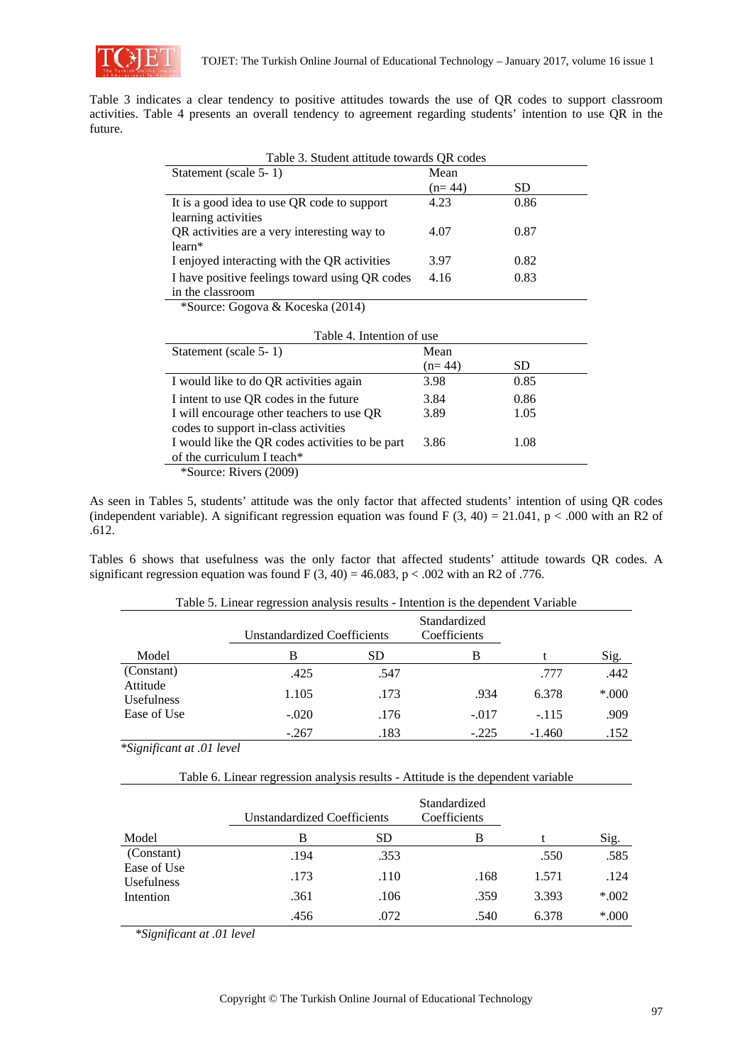

Table 3 indicates a clear tendency to positive attitudes towards the use of QR codes to support classroom activities. Table 4 presents an overall tendency to agreement regarding students' intention to use QR in the future.

| Table 3. Student attitude towards QR codes     |          |           |  |
|------------------------------------------------|----------|-----------|--|
| Statement (scale 5-1)                          | Mean     |           |  |
|                                                | $(n=44)$ | <b>SD</b> |  |
| It is a good idea to use QR code to support    | 4.23     | 0.86      |  |
| learning activities                            |          |           |  |
| QR activities are a very interesting way to    | 4.07     | 0.87      |  |
| $learn*$                                       |          |           |  |
| I enjoyed interacting with the QR activities   | 3.97     | 0.82      |  |
| I have positive feelings toward using QR codes | 4.16     | 0.83      |  |
| in the classroom                               |          |           |  |

\*Source: Gogova & Koceska (2014)

| Table 4. Intention of use                                                         |          |      |  |
|-----------------------------------------------------------------------------------|----------|------|--|
| Statement (scale 5-1)                                                             | Mean     |      |  |
|                                                                                   | $(n=44)$ | SD   |  |
| I would like to do QR activities again                                            | 3.98     | 0.85 |  |
| I intent to use QR codes in the future                                            | 3.84     | 0.86 |  |
| I will encourage other teachers to use QR<br>codes to support in-class activities | 3.89     | 1.05 |  |
| I would like the QR codes activities to be part                                   | 3.86     | 1.08 |  |
| of the curriculum I teach*                                                        |          |      |  |
| *Source: Rivers (2009)                                                            |          |      |  |

As seen in Tables 5, students' attitude was the only factor that affected students' intention of using QR codes (independent variable). A significant regression equation was found F  $(3, 40) = 21.041$ , p < .000 with an R2 of .612.

Tables 6 shows that usefulness was the only factor that affected students' attitude towards QR codes. A significant regression equation was found F  $(3, 40) = 46.083$ , p < .002 with an R2 of .776.

|                               | Table 5. Emeat regression analysis results - intention is the dependent variable |      |                              |          |        |
|-------------------------------|----------------------------------------------------------------------------------|------|------------------------------|----------|--------|
|                               | Unstandardized Coefficients                                                      |      | Standardized<br>Coefficients |          |        |
| Model                         | В                                                                                | SD   | B                            |          | Sig.   |
| (Constant)                    | .425                                                                             | .547 |                              | .777     | .442   |
| Attitude<br><b>Usefulness</b> | 1.105                                                                            | .173 | .934                         | 6.378    | $*000$ |
| Ease of Use                   | $-.020$                                                                          | .176 | $-.017$                      | $-.115$  | .909   |
|                               | $-.267$                                                                          | .183 | $-.225$                      | $-1.460$ | .152   |

Table 5. Linear regression analysis results - Intention is the dependent Variable

*\*Significant at .01 level* 

l,

|                                  | Table 6. Linear regression analysis results - Attitude is the dependent variable |                                    |      |       |      |
|----------------------------------|----------------------------------------------------------------------------------|------------------------------------|------|-------|------|
|                                  |                                                                                  | <b>Unstandardized Coefficients</b> |      |       |      |
| Model                            | В                                                                                | SD.                                | B    |       | Sig. |
| (Constant)                       | .194                                                                             | .353                               |      | .550  | .585 |
| Ease of Use<br><b>Usefulness</b> | .173                                                                             | .110                               | .168 | 1.571 | .124 |

.361 .106 .359 3.393  $*002$ .456 .072 .540 6.378 \*.000

 *\*Significant at .01 level* 

Intention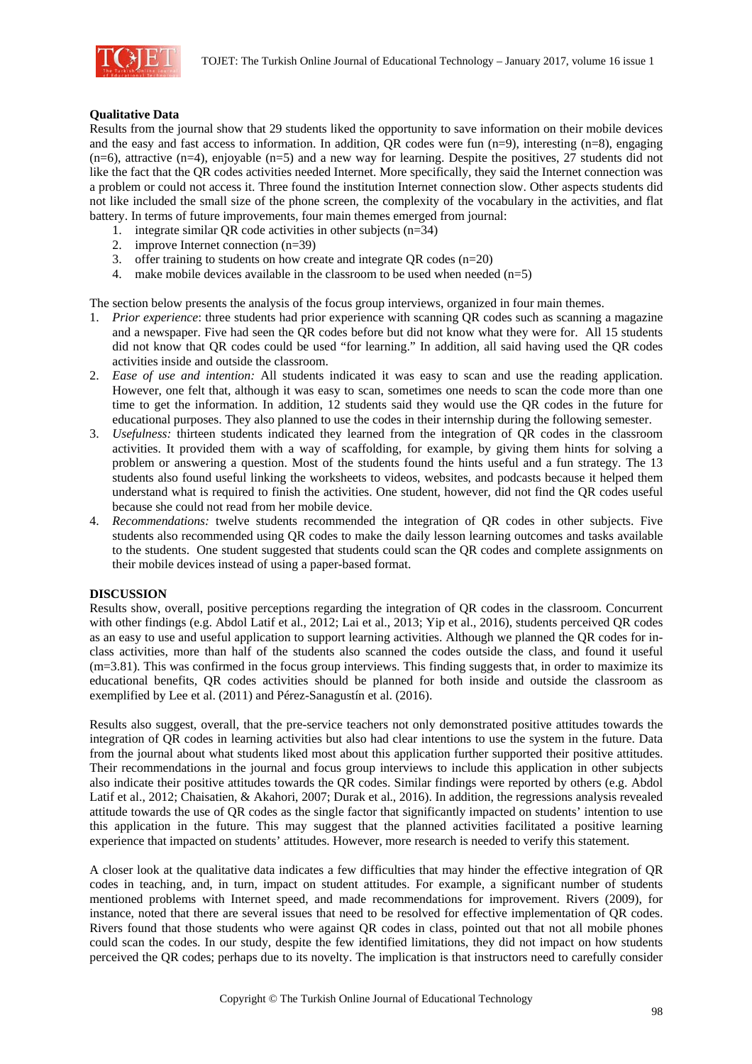

# **Qualitative Data**

Results from the journal show that 29 students liked the opportunity to save information on their mobile devices and the easy and fast access to information. In addition, QR codes were fun (n=9), interesting (n=8), engaging (n=6), attractive (n=4), enjoyable (n=5) and a new way for learning. Despite the positives, 27 students did not like the fact that the QR codes activities needed Internet. More specifically, they said the Internet connection was a problem or could not access it. Three found the institution Internet connection slow. Other aspects students did not like included the small size of the phone screen, the complexity of the vocabulary in the activities, and flat battery. In terms of future improvements, four main themes emerged from journal:

- 1. integrate similar QR code activities in other subjects (n=34)
- 2. improve Internet connection (n=39)
- 3. offer training to students on how create and integrate OR codes  $(n=20)$
- 4. make mobile devices available in the classroom to be used when needed  $(n=5)$

The section below presents the analysis of the focus group interviews, organized in four main themes.

- 1. *Prior experience*: three students had prior experience with scanning QR codes such as scanning a magazine and a newspaper. Five had seen the QR codes before but did not know what they were for. All 15 students did not know that QR codes could be used "for learning." In addition, all said having used the QR codes activities inside and outside the classroom.
- 2. *Ease of use and intention:* All students indicated it was easy to scan and use the reading application. However, one felt that, although it was easy to scan, sometimes one needs to scan the code more than one time to get the information. In addition, 12 students said they would use the QR codes in the future for educational purposes. They also planned to use the codes in their internship during the following semester.
- 3. *Usefulness:* thirteen students indicated they learned from the integration of QR codes in the classroom activities. It provided them with a way of scaffolding, for example, by giving them hints for solving a problem or answering a question. Most of the students found the hints useful and a fun strategy. The 13 students also found useful linking the worksheets to videos, websites, and podcasts because it helped them understand what is required to finish the activities. One student, however, did not find the QR codes useful because she could not read from her mobile device.
- 4. *Recommendations:* twelve students recommended the integration of QR codes in other subjects. Five students also recommended using QR codes to make the daily lesson learning outcomes and tasks available to the students. One student suggested that students could scan the QR codes and complete assignments on their mobile devices instead of using a paper-based format.

#### **DISCUSSION**

Results show, overall, positive perceptions regarding the integration of QR codes in the classroom. Concurrent with other findings (e.g. Abdol Latif et al., 2012; Lai et al., 2013; Yip et al., 2016), students perceived QR codes as an easy to use and useful application to support learning activities. Although we planned the QR codes for inclass activities, more than half of the students also scanned the codes outside the class, and found it useful (m=3.81). This was confirmed in the focus group interviews. This finding suggests that, in order to maximize its educational benefits, QR codes activities should be planned for both inside and outside the classroom as exemplified by Lee et al. (2011) and Pérez-Sanagustín et al. (2016).

Results also suggest, overall, that the pre-service teachers not only demonstrated positive attitudes towards the integration of QR codes in learning activities but also had clear intentions to use the system in the future. Data from the journal about what students liked most about this application further supported their positive attitudes. Their recommendations in the journal and focus group interviews to include this application in other subjects also indicate their positive attitudes towards the QR codes. Similar findings were reported by others (e.g. Abdol Latif et al., 2012; Chaisatien, & Akahori, 2007; Durak et al., 2016). In addition, the regressions analysis revealed attitude towards the use of QR codes as the single factor that significantly impacted on students' intention to use this application in the future. This may suggest that the planned activities facilitated a positive learning experience that impacted on students' attitudes. However, more research is needed to verify this statement.

A closer look at the qualitative data indicates a few difficulties that may hinder the effective integration of QR codes in teaching, and, in turn, impact on student attitudes. For example, a significant number of students mentioned problems with Internet speed, and made recommendations for improvement. Rivers (2009), for instance, noted that there are several issues that need to be resolved for effective implementation of QR codes. Rivers found that those students who were against QR codes in class, pointed out that not all mobile phones could scan the codes. In our study, despite the few identified limitations, they did not impact on how students perceived the QR codes; perhaps due to its novelty. The implication is that instructors need to carefully consider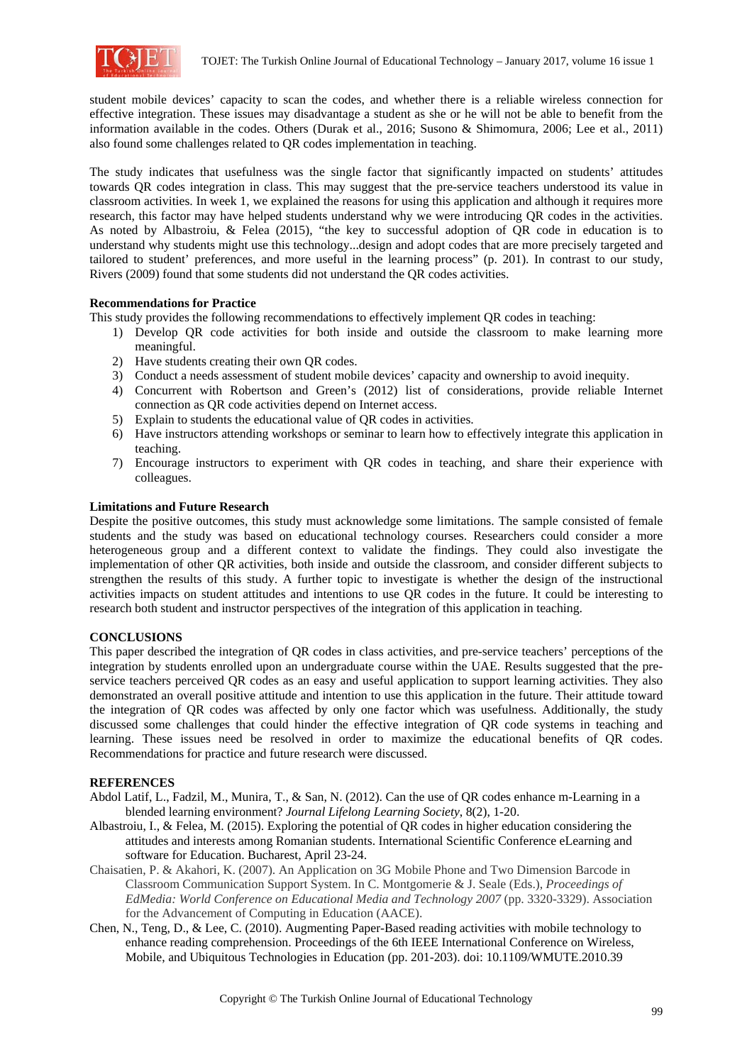

student mobile devices' capacity to scan the codes, and whether there is a reliable wireless connection for effective integration. These issues may disadvantage a student as she or he will not be able to benefit from the information available in the codes. Others (Durak et al., 2016; Susono & Shimomura, 2006; Lee et al., 2011) also found some challenges related to QR codes implementation in teaching.

The study indicates that usefulness was the single factor that significantly impacted on students' attitudes towards QR codes integration in class. This may suggest that the pre-service teachers understood its value in classroom activities. In week 1, we explained the reasons for using this application and although it requires more research, this factor may have helped students understand why we were introducing QR codes in the activities. As noted by Albastroiu, & Felea (2015), "the key to successful adoption of QR code in education is to understand why students might use this technology...design and adopt codes that are more precisely targeted and tailored to student' preferences, and more useful in the learning process" (p. 201). In contrast to our study, Rivers (2009) found that some students did not understand the QR codes activities.

## **Recommendations for Practice**

This study provides the following recommendations to effectively implement QR codes in teaching:

- 1) Develop QR code activities for both inside and outside the classroom to make learning more meaningful.
- 2) Have students creating their own QR codes.
- 3) Conduct a needs assessment of student mobile devices' capacity and ownership to avoid inequity.
- 4) Concurrent with Robertson and Green's (2012) list of considerations, provide reliable Internet connection as QR code activities depend on Internet access.
- 5) Explain to students the educational value of QR codes in activities.
- 6) Have instructors attending workshops or seminar to learn how to effectively integrate this application in teaching.
- 7) Encourage instructors to experiment with QR codes in teaching, and share their experience with colleagues.

## **Limitations and Future Research**

Despite the positive outcomes, this study must acknowledge some limitations. The sample consisted of female students and the study was based on educational technology courses. Researchers could consider a more heterogeneous group and a different context to validate the findings. They could also investigate the implementation of other QR activities, both inside and outside the classroom, and consider different subjects to strengthen the results of this study. A further topic to investigate is whether the design of the instructional activities impacts on student attitudes and intentions to use QR codes in the future. It could be interesting to research both student and instructor perspectives of the integration of this application in teaching.

# **CONCLUSIONS**

This paper described the integration of QR codes in class activities, and pre-service teachers' perceptions of the integration by students enrolled upon an undergraduate course within the UAE. Results suggested that the preservice teachers perceived QR codes as an easy and useful application to support learning activities. They also demonstrated an overall positive attitude and intention to use this application in the future. Their attitude toward the integration of QR codes was affected by only one factor which was usefulness. Additionally, the study discussed some challenges that could hinder the effective integration of QR code systems in teaching and learning. These issues need be resolved in order to maximize the educational benefits of QR codes. Recommendations for practice and future research were discussed.

#### **REFERENCES**

- Abdol Latif, L., Fadzil, M., Munira, T., & San, N. (2012). Can the use of QR codes enhance m-Learning in a blended learning environment? *Journal Lifelong Learning Society*, 8(2), 1-20.
- Albastroiu, I., & Felea, M. (2015). Exploring the potential of QR codes in higher education considering the attitudes and interests among Romanian students. International Scientific Conference eLearning and software for Education. Bucharest, April 23-24.
- Chaisatien, P. & Akahori, K. (2007). An Application on 3G Mobile Phone and Two Dimension Barcode in Classroom Communication Support System. In C. Montgomerie & J. Seale (Eds.), *Proceedings of EdMedia: World Conference on Educational Media and Technology 2007* (pp. 3320-3329). Association for the Advancement of Computing in Education (AACE).
- Chen, N., Teng, D., & Lee, C. (2010). Augmenting Paper-Based reading activities with mobile technology to enhance reading comprehension. Proceedings of the 6th IEEE International Conference on Wireless, Mobile, and Ubiquitous Technologies in Education (pp. 201-203). doi: 10.1109/WMUTE.2010.39